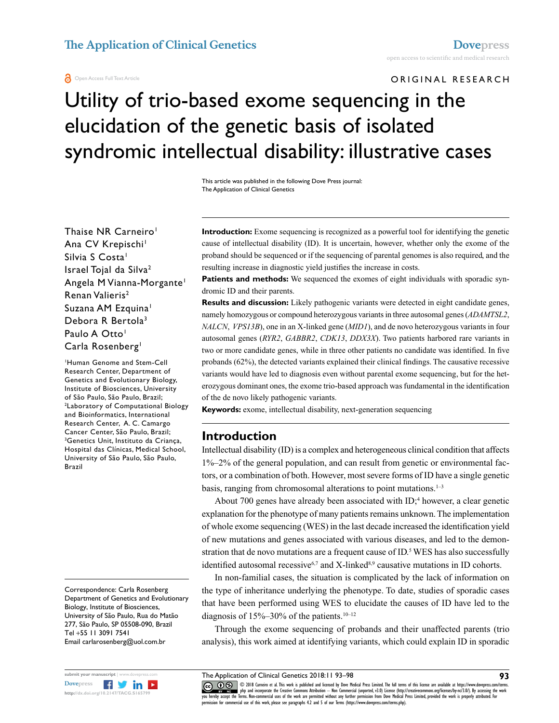#### **a** Open Access Full Text Article

ORIGINAL RESEARCH

# Utility of trio-based exome sequencing in the elucidation of the genetic basis of isolated syndromic intellectual disability: illustrative cases

This article was published in the following Dove Press journal: The Application of Clinical Genetics

Thaise NR Carneiro<sup>1</sup> Ana CV Krepischi<sup>1</sup> Silvia S Costa<sup>1</sup> Israel Tojal da Silva2 Angela M Vianna-Morgante1 Renan Valieris<sup>2</sup> Suzana AM Ezquina<sup>1</sup> Debora R Bertola3 Paulo A Otto<sup>1</sup> Carla Rosenberg<sup>1</sup>

1 Human Genome and Stem-Cell Research Center, Department of Genetics and Evolutionary Biology, Institute of Biosciences, University of São Paulo, São Paulo, Brazil; 2 Laboratory of Computational Biology and Bioinformatics, International Research Center, A. C. Camargo Cancer Center, São Paulo, Brazil; 3 <sup>3</sup>Genetics Unit, Instituto da Criança, Hospital das Clínicas, Medical School, University of São Paulo, São Paulo, Brazil

Correspondence: Carla Rosenberg Department of Genetics and Evolutionary Biology, Institute of Biosciences, University of São Paulo, Rua do Matão 277, São Paulo, SP 05508-090, Brazil Tel +55 11 3091 7541 Email carlarosenberg@uol.com.br



**Introduction:** Exome sequencing is recognized as a powerful tool for identifying the genetic cause of intellectual disability (ID). It is uncertain, however, whether only the exome of the proband should be sequenced or if the sequencing of parental genomes is also required, and the resulting increase in diagnostic yield justifies the increase in costs.

**Patients and methods:** We sequenced the exomes of eight individuals with sporadic syndromic ID and their parents.

**Results and discussion:** Likely pathogenic variants were detected in eight candidate genes, namely homozygous or compound heterozygous variants in three autosomal genes (*ADAMTSL2*, *NALCN*, *VPS13B*), one in an X-linked gene (*MID1*), and de novo heterozygous variants in four autosomal genes (*RYR2*, *GABBR2*, *CDK13*, *DDX3X*). Two patients harbored rare variants in two or more candidate genes, while in three other patients no candidate was identified. In five probands (62%), the detected variants explained their clinical findings. The causative recessive variants would have led to diagnosis even without parental exome sequencing, but for the heterozygous dominant ones, the exome trio-based approach was fundamental in the identification of the de novo likely pathogenic variants.

**Keywords:** exome, intellectual disability, next-generation sequencing

### **Introduction**

Intellectual disability (ID) is a complex and heterogeneous clinical condition that affects 1%–2% of the general population, and can result from genetic or environmental factors, or a combination of both. However, most severe forms of ID have a single genetic basis, ranging from chromosomal alterations to point mutations. $1-3$ 

About 700 genes have already been associated with ID;<sup>4</sup> however, a clear genetic explanation for the phenotype of many patients remains unknown. The implementation of whole exome sequencing (WES) in the last decade increased the identification yield of new mutations and genes associated with various diseases, and led to the demonstration that de novo mutations are a frequent cause of ID.<sup>5</sup> WES has also successfully identified autosomal recessive<sup>6,7</sup> and X-linked<sup>8,9</sup> causative mutations in ID cohorts.

In non-familial cases, the situation is complicated by the lack of information on the type of inheritance underlying the phenotype. To date, studies of sporadic cases that have been performed using WES to elucidate the causes of ID have led to the diagnosis of  $15\% - 30\%$  of the patients.<sup>10–12</sup>

Through the exome sequencing of probands and their unaffected parents (trio analysis), this work aimed at identifying variants, which could explain ID in sporadic

CCO COS © 2018 Carneiro et al. This work is published and licensed by Dove Medical Press Limited. The full terms of this license are available at https://www.dovepress.com/terms. www.com php and incorporate the Creative Commons Attribution — Non Commercial (unported, v3.0) License (http://creativecommons.org/licenses/by-nc/3.0/). By accessing the work<br>[you hereby accept the T](http://www.dovepress.com/permissions.php)erms. Non-commercial use permission for commercial use of this work, please see paragraphs 4.2 and 5 of our Terms (https://www.dovepress.com/terms.php).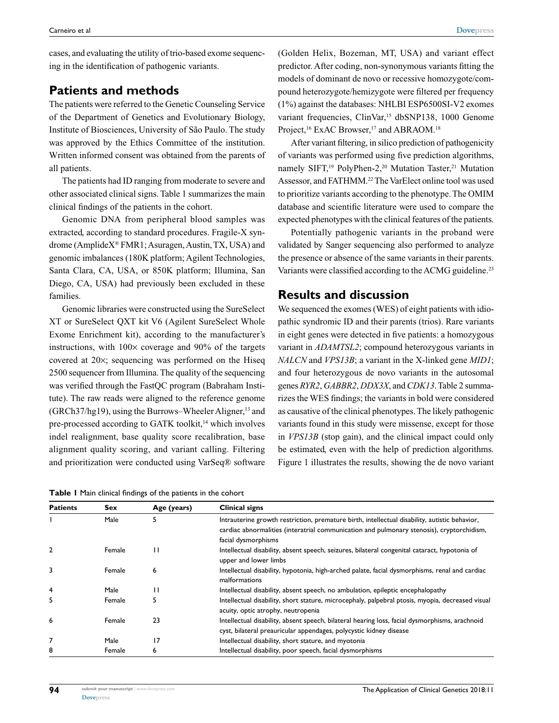cases, and evaluating the utility of trio-based exome sequencing in the identification of pathogenic variants.

# **Patients and methods**

The patients were referred to the Genetic Counseling Service of the Department of Genetics and Evolutionary Biology, Institute of Biosciences, University of São Paulo. The study was approved by the Ethics Committee of the institution. Written informed consent was obtained from the parents of all patients.

The patients had ID ranging from moderate to severe and other associated clinical signs. Table 1 summarizes the main clinical findings of the patients in the cohort.

Genomic DNA from peripheral blood samples was extracted, according to standard procedures. Fragile-X syndrome (AmplideX® FMR1; Asuragen, Austin, TX, USA) and genomic imbalances (180K platform; Agilent Technologies, Santa Clara, CA, USA, or 850K platform; Illumina, San Diego, CA, USA) had previously been excluded in these families.

Genomic libraries were constructed using the SureSelect XT or SureSelect QXT kit V6 (Agilent SureSelect Whole Exome Enrichment kit), according to the manufacturer's instructions, with  $100 \times$  coverage and  $90\%$  of the targets covered at 20×; sequencing was performed on the Hiseq 2500 sequencer from Illumina. The quality of the sequencing was verified through the FastQC program (Babraham Institute). The raw reads were aligned to the reference genome (GRCh37/hg19), using the Burrows–Wheeler Aligner,<sup>13</sup> and pre-processed according to GATK toolkit,<sup>14</sup> which involves indel realignment, base quality score recalibration, base alignment quality scoring, and variant calling. Filtering and prioritization were conducted using VarSeq® software

**Table 1** Main clinical findings of the patients in the cohort

(Golden Helix, Bozeman, MT, USA) and variant effect predictor. After coding, non-synonymous variants fitting the models of dominant de novo or recessive homozygote/compound heterozygote/hemizygote were filtered per frequency (1%) against the databases: NHLBI ESP6500SI-V2 exomes variant frequencies, ClinVar,<sup>15</sup> dbSNP138, 1000 Genome Project,<sup>16</sup> ExAC Browser,<sup>17</sup> and ABRAOM.<sup>18</sup>

After variant filtering, in silico prediction of pathogenicity of variants was performed using five prediction algorithms, namely SIFT,<sup>19</sup> PolyPhen-2,<sup>20</sup> Mutation Taster,<sup>21</sup> Mutation Assessor, and FATHMM.<sup>22</sup> The VarElect online tool was used to prioritize variants according to the phenotype. The OMIM database and scientific literature were used to compare the expected phenotypes with the clinical features of the patients.

Potentially pathogenic variants in the proband were validated by Sanger sequencing also performed to analyze the presence or absence of the same variants in their parents. Variants were classified according to the ACMG guideline.<sup>23</sup>

# **Results and discussion**

We sequenced the exomes (WES) of eight patients with idiopathic syndromic ID and their parents (trios). Rare variants in eight genes were detected in five patients: a homozygous variant in *ADAMTSL2*; compound heterozygous variants in *NALCN* and *VPS13B*; a variant in the X-linked gene *MID1*; and four heterozygous de novo variants in the autosomal genes *RYR2*, *GABBR2*, *DDX3X*, and *CDK13*. Table 2 summarizes the WES findings; the variants in bold were considered as causative of the clinical phenotypes. The likely pathogenic variants found in this study were missense, except for those in *VPS13B* (stop gain), and the clinical impact could only be estimated, even with the help of prediction algorithms. Figure 1 illustrates the results, showing the de novo variant

| <b>Patients</b> | Sex    | Age (years) | <b>Clinical signs</b>                                                                                                                                                                                             |
|-----------------|--------|-------------|-------------------------------------------------------------------------------------------------------------------------------------------------------------------------------------------------------------------|
|                 | Male   | 5           | Intrauterine growth restriction, premature birth, intellectual disability, autistic behavior,<br>cardiac abnormalities (interatrial communication and pulmonary stenosis), cryptorchidism,<br>facial dysmorphisms |
| $\overline{2}$  | Female | н           | Intellectual disability, absent speech, seizures, bilateral congenital cataract, hypotonia of<br>upper and lower limbs                                                                                            |
| 3               | Female | 6           | Intellectual disability, hypotonia, high-arched palate, facial dysmorphisms, renal and cardiac<br>malformations                                                                                                   |
| $\overline{4}$  | Male   | п           | Intellectual disability, absent speech, no ambulation, epileptic encephalopathy                                                                                                                                   |
| 5               | Female |             | Intellectual disability, short stature, microcephaly, palpebral ptosis, myopia, decreased visual<br>acuity, optic atrophy, neutropenia                                                                            |
| 6               | Female | 23          | Intellectual disability, absent speech, bilateral hearing loss, facial dysmorphisms, arachnoid<br>cyst, bilateral preauricular appendages, polycystic kidney disease                                              |
| 7               | Male   | 17          | Intellectual disability, short stature, and myotonia                                                                                                                                                              |
| 8               | Female | 6           | Intellectual disability, poor speech, facial dysmorphisms                                                                                                                                                         |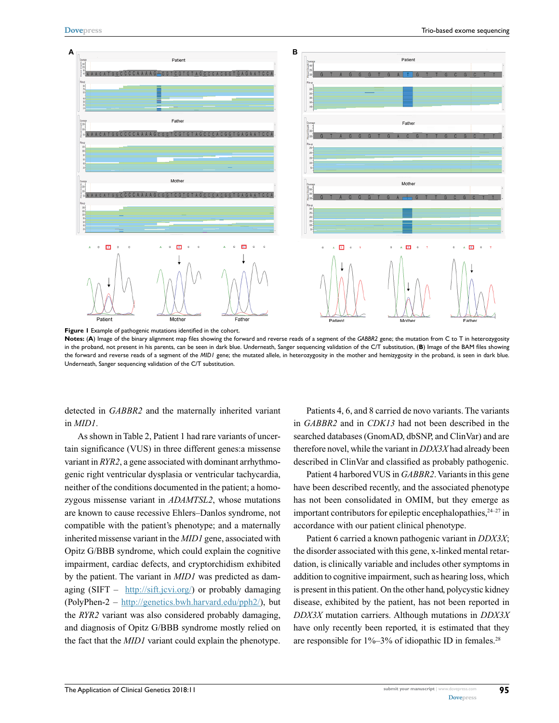

Figure 1 Example of pathogenic mutations identified in the cohort.

**Notes:** (**A**) Image of the binary alignment map files showing the forward and reverse reads of a segment of the *GABBR2* gene; the mutation from C to T in heterozygosity in the proband, not present in his parents, can be seen in dark blue. Underneath, Sanger sequencing validation of the C/T substitution, (**B**) Image of the BAM files showing the forward and reverse reads of a segment of the *MID1* gene; the mutated allele, in heterozygosity in the mother and hemizygosity in the proband, is seen in dark blue. Underneath, Sanger sequencing validation of the C/T substitution.

detected in *GABBR2* and the maternally inherited variant in *MID1*.

As shown in Table 2, Patient 1 had rare variants of uncertain significance (VUS) in three different genes:a missense variant in *RYR2*, a gene associated with dominant arrhythmogenic right ventricular dysplasia or ventricular tachycardia, neither of the conditions documented in the patient; a homozygous missense variant in *ADAMTSL2*, whose mutations are known to cause recessive Ehlers–Danlos syndrome, not compatible with the patient's phenotype; and a maternally inherited missense variant in the *MID1* gene, associated with Opitz G/BBB syndrome, which could explain the cognitive impairment, cardiac defects, and cryptorchidism exhibited by the patient. The variant in *MID1* was predicted as damaging  $(SIFT - http://sift.jcvi.org/)$  $(SIFT - http://sift.jcvi.org/)$  or probably damaging (PolyPhen-2 – [http://genetics.bwh.harvard.edu/pph2/\)](http://genetics.bwh.harvard.edu/pph2/), but the *RYR2* variant was also considered probably damaging, and diagnosis of Opitz G/BBB syndrome mostly relied on the fact that the *MID1* variant could explain the phenotype.

Patients 4, 6, and 8 carried de novo variants. The variants in *GABBR2* and in *CDK13* had not been described in the searched databases (GnomAD, dbSNP, and ClinVar) and are therefore novel, while the variant in *DDX3X* had already been described in ClinVar and classified as probably pathogenic.

Patient 4 harbored VUS in *GABBR2*. Variants in this gene have been described recently, and the associated phenotype has not been consolidated in OMIM, but they emerge as important contributors for epileptic encephalopathies, $24-27$  in accordance with our patient clinical phenotype.

Patient 6 carried a known pathogenic variant in *DDX3X*; the disorder associated with this gene, x-linked mental retardation, is clinically variable and includes other symptoms in addition to cognitive impairment, such as hearing loss, which is present in this patient. On the other hand, polycystic kidney disease, exhibited by the patient, has not been reported in *DDX3X* mutation carriers. Although mutations in *DDX3X*  have only recently been reported, it is estimated that they are responsible for  $1\% - 3\%$  of idiopathic ID in females.<sup>28</sup>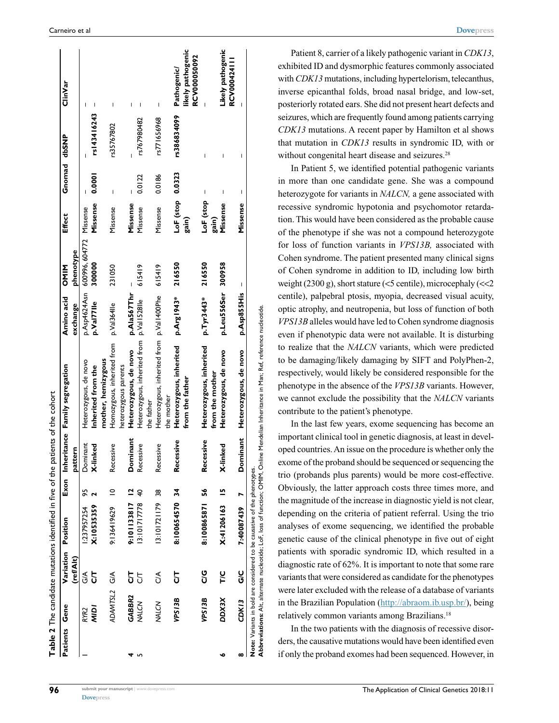|               |              |                    | Table 2 The candidate mutations identified in five of the patients of the cohort |             |                       |                                           |                    |                |                  |              |             |                                   |
|---------------|--------------|--------------------|----------------------------------------------------------------------------------|-------------|-----------------------|-------------------------------------------|--------------------|----------------|------------------|--------------|-------------|-----------------------------------|
| Patients Gene |              | Variation Position |                                                                                  |             |                       | Exon Inheritance Family segregation       | Amino acid         | <b>OMIN</b>    | <b>Effect</b>    | Gnomad dbSNP |             | ClinVar                           |
|               |              | (ref/Alt)          |                                                                                  |             | pattern               |                                           | exchange           | phenotype      |                  |              |             |                                   |
|               | RYR2         | $\frac{1}{5}$      | 1:237957254                                                                      | 56          | Dominant              | Heterozygous, de novo                     | p.Asp4624Asn       | 600996, 604772 | Missense         |              |             | ı                                 |
|               | <b>NIDI</b>  | 5                  | X:10535359                                                                       |             | X-linked              | Inherited from the                        | p.Val77lle         | 300000         | Missense         | 0.0001       | rs143416243 |                                   |
|               |              |                    |                                                                                  |             |                       | mother, hemizygous                        |                    |                |                  |              |             |                                   |
|               | ADAMTSL2 G/A |                    | 9:136419629                                                                      | $\supseteq$ | Recessive             | Homozygous, inherited from                | p.Val364lle        | 231050         | Missense         | Ï            | rs35767802  | ı                                 |
|               |              |                    |                                                                                  |             |                       | heterozygous parents                      |                    |                |                  |              |             |                                   |
|               | GABBR2       | 5                  | 9:101133817 12                                                                   |             | Dominant              | Heterozygous, de novo                     | p.Ala567Thr        |                | Missense         |              |             |                                   |
| ۳             | NALCN        | 5                  | 13:101717778 40                                                                  |             | Recessive             | Heterozygous, inherited from p.Val1528lle |                    | 615419         | Missense         | 0.0122       | rs767980482 | I                                 |
|               |              |                    |                                                                                  |             |                       | the father                                |                    |                |                  |              |             |                                   |
|               | NALCN        | ঠ                  | 13:101721179 38                                                                  |             | Recessive             | Heterozygous, inherited from p.Val1400Phe |                    | 615419         | Missense         | 0.0186       | rs771656968 |                                   |
|               |              |                    |                                                                                  |             |                       | the mother                                |                    |                |                  |              |             |                                   |
|               | VPS13B       | 5                  | 8:100654570 34                                                                   |             | Recessive             | Heterozygous, inherited                   | p.Arg1943*         | 216550         | LoF (stop 0.0323 |              | rs386834099 | Pathogenic/                       |
|               |              |                    |                                                                                  |             |                       | from the father                           |                    |                | gain)            |              |             | likely pathogenic<br>RCV000050092 |
|               | VPS13B       | ပ<br>ပ             | 8:100865871 56                                                                   |             | essive<br><b>Rece</b> | Heterozygous, inherited                   | p. Tyr3443*        | 216550         | LoF (stop        | I            | I           |                                   |
|               |              |                    |                                                                                  |             |                       | from the mother                           |                    |                | gain)            |              |             |                                   |
|               | <b>DDX3X</b> | T/C                | X:41206163 15                                                                    |             | X-linked              | Heterozygous, de novo                     | p.Leu556Ser 300958 |                | Missense         | ı            |             | Likely pathogenic                 |
|               |              |                    |                                                                                  |             |                       |                                           |                    |                |                  |              |             | RCV000424111                      |
| ∞             | CDKI3        | ပ<br>ပ             | 7:40087439                                                                       |             | Dominant              | Heterozygous, de novo                     | p.Asp855His        | I              | Missense         | I            | Ï           |                                   |
|               |              |                    | Note: Variants in bold are considered to be causative of the phenotypes.         |             |                       |                                           |                    |                |                  |              |             |                                   |

**Abbreviations:** Alt, alternate nucleotide; LoF, loss of function; OMIM, Online Mendelian Inheritance in Man; Ref, reference nucleotide.loss of function; OMIM, Online Mendelian Inheritance in Man; Ref, reference nucleotide Abbreviations: Alt, alternate nucleotide; LoF,

Patient 8, carrier of a likely pathogenic variant in *CDK13*, exhibited ID and dysmorphic features commonly associated with *CDK13* mutations, including hypertelorism, telecanthus, inverse epicanthal folds, broad nasal bridge, and low-set, posteriorly rotated ears. She did not present heart defects and seizures, which are frequently found among patients carrying *CDK13* mutations. A recent paper by Hamilton et al shows that mutation in *CDK13* results in syndromic ID, with or without congenital heart disease and seizures.<sup>28</sup>

In Patient 5, we identified potential pathogenic variants in more than one candidate gene. She was a compound heterozygote for variants in *NALCN,* a gene associated with recessive syndromic hypotonia and psychomotor retardation. This would have been considered as the probable cause of the phenotype if she was not a compound heterozygote for loss of function variants in *VPS13B,* associated with Cohen syndrome. The patient presented many clinical signs of Cohen syndrome in addition to ID, including low birth weight (2300 g), short stature (<5 centile), microcephaly (<<2 centile), palpebral ptosis, myopia, decreased visual acuity, optic atrophy, and neutropenia, but loss of function of both *VPS13B* alleles would have led to Cohen syndrome diagnosis even if phenotypic data were not available. It is disturbing to realize that the *NALCN* variants, which were predicted to be damaging/likely damaging by SIFT and PolyPhen-2, respectively, would likely be considered responsible for the phenotype in the absence of the *VPS13B* variants. However, we cannot exclude the possibility that the *NALCN* variants contribute to the patient's phenotype.

In the last few years, exome sequencing has become an important clinical tool in genetic diagnosis, at least in developed countries. An issue on the procedure is whether only the exome of the proband should be sequenced or sequencing the trio (probands plus parents) would be more cost-effective. Obviously, the latter approach costs three times more, and the magnitude of the increase in diagnostic yield is not clear, depending on the criteria of patient referral. Using the trio analyses of exome sequencing, we identified the probable genetic cause of the clinical phenotype in five out of eight patients with sporadic syndromic ID, which resulted in a diagnostic rate of 62%. It is important to note that some rare variants that were considered as candidate for the phenotypes were later excluded with the release of a database of variants in the Brazilian Population ([http://abraom.ib.usp.br/\)](http://abraom.ib.usp.br/), being relatively common variants among Brazilians.18

In the two patients with the diagnosis of recessive disorders, the causative mutations would have been identified even if only the proband exomes had been sequenced. However, in

**[Dovepress](www.dovepress.com)** 

**96**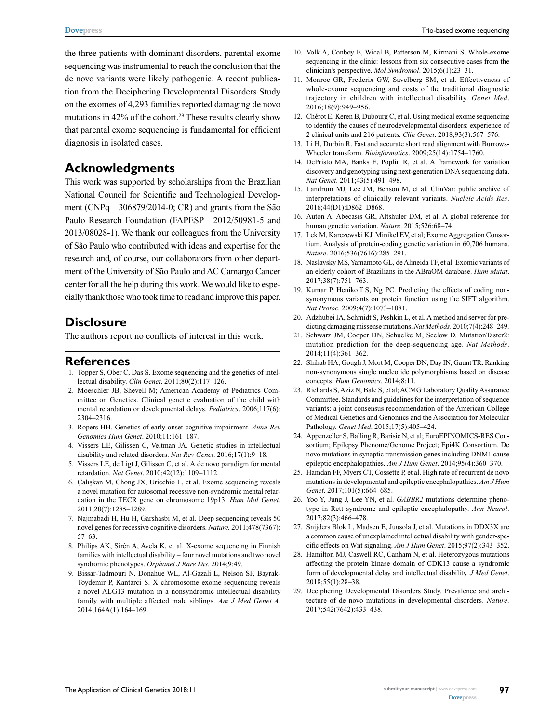the three patients with dominant disorders, parental exome sequencing was instrumental to reach the conclusion that the de novo variants were likely pathogenic. A recent publication from the Deciphering Developmental Disorders Study on the exomes of 4,293 families reported damaging de novo mutations in 42% of the cohort.<sup>29</sup> These results clearly show that parental exome sequencing is fundamental for efficient diagnosis in isolated cases.

#### **Acknowledgments**

This work was supported by scholarships from the Brazilian National Council for Scientific and Technological Development (CNPq—306879/2014-0; CR) and grants from the São Paulo Research Foundation (FAPESP—2012/50981-5 and 2013/08028-1). We thank our colleagues from the University of São Paulo who contributed with ideas and expertise for the research and, of course, our collaborators from other department of the University of São Paulo and AC Camargo Cancer center for all the help during this work. We would like to especially thank those who took time to read and improve this paper.

## **Disclosure**

The authors report no conflicts of interest in this work.

#### **References**

- 1. Topper S, Ober C, Das S. Exome sequencing and the genetics of intellectual disability. *Clin Genet*. 2011;80(2):117–126.
- 2. Moeschler JB, Shevell M; American Academy of Pediatrics Committee on Genetics. Clinical genetic evaluation of the child with mental retardation or developmental delays. *Pediatrics*. 2006;117(6): 2304–2316.
- 3. Ropers HH. Genetics of early onset cognitive impairment. *Annu Rev Genomics Hum Genet*. 2010;11:161–187.
- 4. Vissers LE, Gilissen C, Veltman JA. Genetic studies in intellectual disability and related disorders. *Nat Rev Genet*. 2016;17(1):9–18.
- 5. Vissers LE, de Ligt J, Gilissen C, et al. A de novo paradigm for mental retardation. *Nat Genet*. 2010;42(12):1109–1112.
- 6. Çalışkan M, Chong JX, Uricchio L, et al. Exome sequencing reveals a novel mutation for autosomal recessive non-syndromic mental retardation in the TECR gene on chromosome 19p13. *Hum Mol Genet*. 2011;20(7):1285–1289.
- 7. Najmabadi H, Hu H, Garshasbi M, et al. Deep sequencing reveals 50 novel genes for recessive cognitive disorders. *Nature.* 2011;478(7367): 57–63.
- 8. Philips AK, Sirén A, Avela K, et al. X-exome sequencing in Finnish families with intellectual disability – four novel mutations and two novel syndromic phenotypes. *Orphanet J Rare Dis*. 2014;9:49.
- 9. Bissar-Tadmouri N, Donahue WL, Al-Gazali L, Nelson SF, Bayrak-Toydemir P, Kantarci S. X chromosome exome sequencing reveals a novel ALG13 mutation in a nonsyndromic intellectual disability family with multiple affected male siblings. *Am J Med Genet A*. 2014;164A(1):164–169.
- 10. Volk A, Conboy E, Wical B, Patterson M, Kirmani S. Whole-exome sequencing in the clinic: lessons from six consecutive cases from the clinician's perspective. *Mol Syndromol*. 2015;6(1):23–31.
- 11. Monroe GR, Frederix GW, Savelberg SM, et al. Effectiveness of whole-exome sequencing and costs of the traditional diagnostic trajectory in children with intellectual disability. *Genet Med*. 2016;18(9):949–956.
- 12. Chérot E, Keren B, Dubourg C, et al. Using medical exome sequencing to identify the causes of neurodevelopmental disorders: experience of 2 clinical units and 216 patients. *Clin Genet*. 2018;93(3):567–576.
- 13. Li H, Durbin R. Fast and accurate short read alignment with Burrows-Wheeler transform. *Bioinformatics*. 2009;25(14):1754–1760.
- 14. DePristo MA, Banks E, Poplin R, et al. A framework for variation discovery and genotyping using next-generation DNA sequencing data. *Nat Genet*. 2011;43(5):491–498.
- 15. Landrum MJ, Lee JM, Benson M, et al. ClinVar: public archive of interpretations of clinically relevant variants. *Nucleic Acids Res*. 2016;44(D1):D862–D868.
- 16. Auton A, Abecasis GR, Altshuler DM, et al. A global reference for human genetic variation. *Nature*. 2015;526:68–74.
- 17. Lek M, Karczewski KJ, Minikel EV, et al; Exome Aggregation Consortium. Analysis of protein-coding genetic variation in 60,706 humans. *Nature*. 2016;536(7616):285–291.
- 18. Naslavsky MS, Yamamoto GL, de Almeida TF, et al. Exomic variants of an elderly cohort of Brazilians in the ABraOM database. *Hum Mutat*. 2017;38(7):751–763.
- 19. Kumar P, Henikoff S, Ng PC. Predicting the effects of coding nonsynonymous variants on protein function using the SIFT algorithm. *Nat Protoc.* 2009;4(7):1073–1081.
- 20. Adzhubei IA, Schmidt S, Peshkin L, et al. A method and server for predicting damaging missense mutations. *Nat Methods*. 2010;7(4):248–249.
- 21. Schwarz JM, Cooper DN, Schuelke M, Seelow D. MutationTaster2: mutation prediction for the deep-sequencing age. *Nat Methods*. 2014;11(4):361–362.
- 22. Shihab HA, Gough J, Mort M, Cooper DN, Day IN, Gaunt TR. Ranking non-synonymous single nucleotide polymorphisms based on disease concepts. *Hum Genomics*. 2014;8:11.
- 23. Richards S, Aziz N, Bale S, et al; ACMG Laboratory Quality Assurance Committee. Standards and guidelines for the interpretation of sequence variants: a joint consensus recommendation of the American College of Medical Genetics and Genomics and the Association for Molecular Pathology. *Genet Med*. 2015;17(5):405–424.
- 24. Appenzeller S, Balling R, Barisic N, et al; EuroEPINOMICS-RES Consortium; Epilepsy Phenome/Genome Project; Epi4K Consortium. De novo mutations in synaptic transmission genes including DNM1 cause epileptic encephalopathies. *Am J Hum Genet*. 2014;95(4):360–370.
- 25. Hamdan FF, Myers CT, Cossette P, et al. High rate of recurrent de novo mutations in developmental and epileptic encephalopathies. *Am J Hum Genet*. 2017;101(5):664–685.
- 26. Yoo Y, Jung J, Lee YN, et al. *GABBR2* mutations determine phenotype in Rett syndrome and epileptic encephalopathy. *Ann Neurol*. 2017;82(3):466–478.
- 27. Snijders Blok L, Madsen E, Juusola J, et al. Mutations in DDX3X are a common cause of unexplained intellectual disability with gender-specific effects on Wnt signaling. *Am J Hum Genet*. 2015;97(2):343–352.
- 28. Hamilton MJ, Caswell RC, Canham N, et al. Heterozygous mutations affecting the protein kinase domain of CDK13 cause a syndromic form of developmental delay and intellectual disability. *J Med Genet*. 2018;55(1):28–38.
- 29. Deciphering Developmental Disorders Study. Prevalence and architecture of de novo mutations in developmental disorders. *Nature*. 2017;542(7642):433–438.